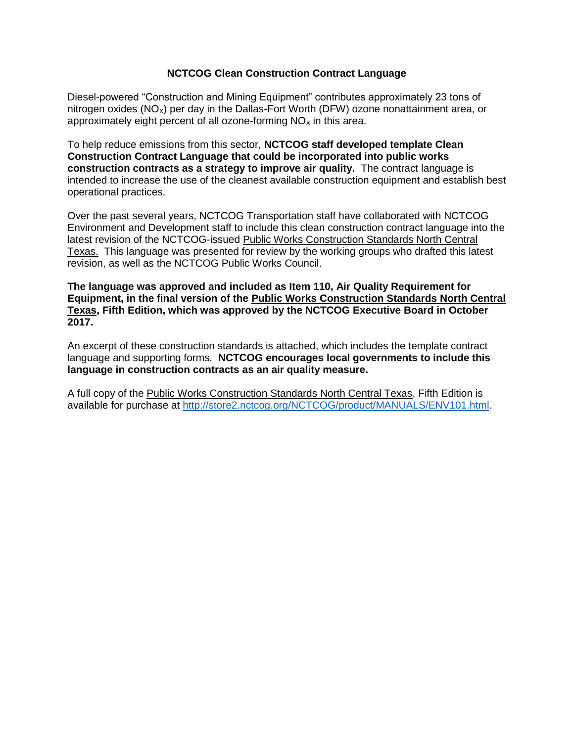# **NCTCOG Clean Construction Contract Language**

Diesel-powered "Construction and Mining Equipment" contributes approximately 23 tons of nitrogen oxides ( $NO_x$ ) per day in the Dallas-Fort Worth (DFW) ozone nonattainment area, or approximately eight percent of all ozone-forming  $NO<sub>x</sub>$  in this area.

To help reduce emissions from this sector, **NCTCOG staff developed template Clean Construction Contract Language that could be incorporated into public works construction contracts as a strategy to improve air quality.** The contract language is intended to increase the use of the cleanest available construction equipment and establish best operational practices.

Over the past several years, NCTCOG Transportation staff have collaborated with NCTCOG Environment and Development staff to include this clean construction contract language into the latest revision of the NCTCOG-issued Public Works Construction Standards North Central Texas. This language was presented for review by the working groups who drafted this latest revision, as well as the NCTCOG Public Works Council.

**The language was approved and included as Item 110, Air Quality Requirement for Equipment, in the final version of the Public Works Construction Standards North Central Texas, Fifth Edition, which was approved by the NCTCOG Executive Board in October 2017.**

An excerpt of these construction standards is attached, which includes the template contract language and supporting forms. **NCTCOG encourages local governments to include this language in construction contracts as an air quality measure.** 

A full copy of the Public Works Construction Standards North Central Texas, Fifth Edition is available for purchase at<http://store2.nctcog.org/NCTCOG/product/MANUALS/ENV101.html>.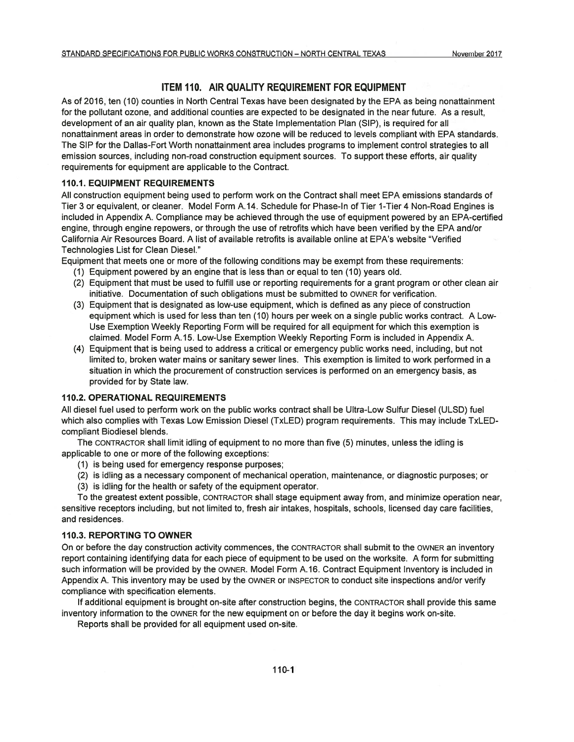## ITEM 110. AIR QUALITY REQUIREMENT FOR EQUIPMENT

As of 2016, ten (10) counties in North Central Texas have been designated by the EPA as being nonattainment for the pollutant ozone, and additional counties are expected to be designated in the near future. As a result, development of an air quality plan, known as the State Implementation Plan (SIP), is required for all nonattainment areas in order to demonstrate how ozone will be reduced to levels compliant with EPA standards. The SIP for the Dallas-Fort Worth nonattainment area includes programs to implement control strategies to all emission sources, including non-road construction equipment sources. To support these efforts, air quality requirements for equipment are applicable to the Contract.

#### **110.1. EQUIPMENT REQUIREMENTS**

All construction equipment being used to perform work on the Contract shall meet EPA emissions standards of Tier 3 or equivalent, or cleaner. Model Form A.14. Schedule for Phase-In of Tier 1-Tier 4 Non-Road Engines is included in Appendix A. Compliance may be achieved through the use of equipment powered by an EPA-certified engine, through engine repowers, or through the use of retrofits which have been verified by the EPA and/or California Air Resources Board. A list of available retrofits is available online at EPA's website "Verified Technologies List for Clean Diesel."

Equipment that meets one or more of the following conditions may be exempt from these requirements:

- (1) Equipment powered by an engine that is less than or equal to ten (10) years old.
- (2) Equipment that must be used to fulfill use or reporting requirements for a grant program or other clean air initiative. Documentation of such obligations must be submitted to OWNER for verification.
- (3) Equipment that is designated as low-use equipment, which is defined as any piece of construction equipment which is used for less than ten (10) hours per week on a single public works contract. A Low-Use Exemption Weekly Reporting Form will be required for all equipment for which this exemption is claimed. Model Form A.15. Low-Use Exemption Weekly Reporting Form is included in Appendix A.
- (4) Equipment that is being used to address a critical or emergency public works need, including, but not limited to, broken water mains or sanitary sewer lines. This exemption is limited to work performed in a situation in which the procurement of construction services is performed on an emergency basis, as provided for by State law.

#### **110.2. OPERATIONAL REQUIREMENTS**

All diesel fuel used to perform work on the public works contract shall be Ultra-Low Sulfur Diesel (ULSD) fuel which also complies with Texas Low Emission Diesel (TxLED) program requirements. This may include TxLEDcompliant Biodiesel blends.

The CONTRACTOR shall limit idling of equipment to no more than five (5) minutes, unless the idling is applicable to one or more of the following exceptions:

- (1) is being used for emergency response purposes;
- (2) is idling as a necessary component of mechanical operation, maintenance, or diagnostic purposes; or
- (3) is idling for the health or safety of the equipment operator.

To the greatest extent possible, CONTRACTOR shall stage equipment away from, and minimize operation near, sensitive receptors including, but not limited to, fresh air intakes, hospitals, schools, licensed day care facilities, and residences.

#### **110.3. REPORTING TO OWNER**

On or before the day construction activity commences, the CONTRACTOR shall submit to the OWNER an inventory report containing identifying data for each piece of equipment to be used on the worksite. A form for submitting such information will be provided by the OWNER. Model Form A.16. Contract Equipment Inventory is included in Appendix A. This inventory may be used by the OWNER or INSPECTOR to conduct site inspections and/or verify compliance with specification elements.

If additional equipment is brought on-site after construction begins, the CONTRACTOR shall provide this same inventory information to the OWNER for the new equipment on or before the day it begins work on-site.

Reports shall be provided for all equipment used on-site.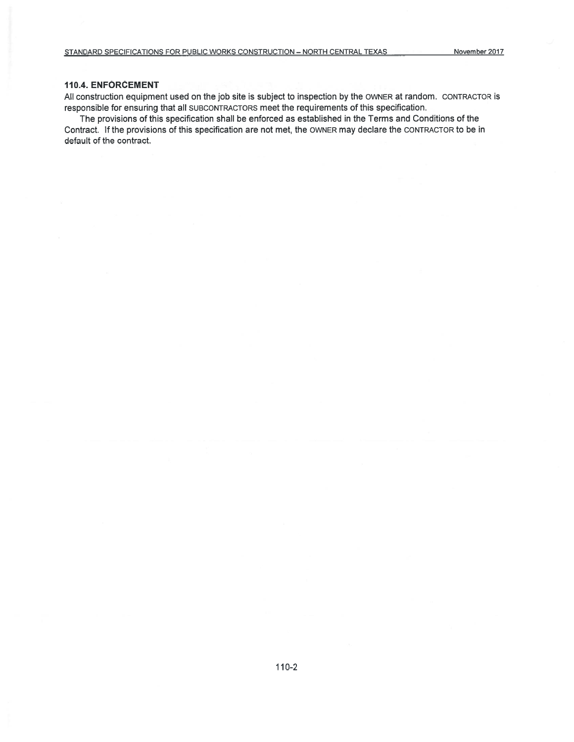## 110.4. ENFORCEMENT

All construction equipment used on the job site is subject to inspection by the OWNER at random. CONTRACTOR is responsible for ensuring that all SUBCONTRACTORS meet the requirements of this specification.

The provisions of this specification shall be enforced as established in the Terms and Conditions of the Contract. If the provisions of this specification are not met, the OWNER may declare the CONTRACTOR to be in default of the contract.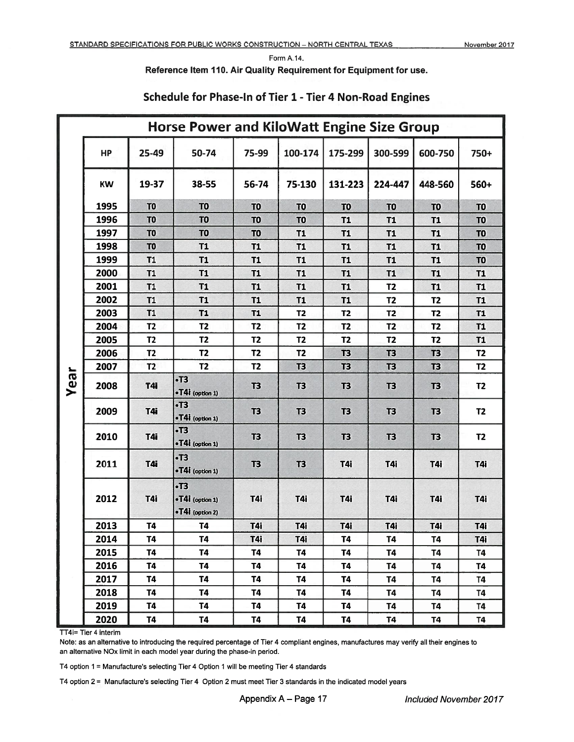Form A.14.

Reference Item 110. Air Quality Requirement for Equipment for use.

|      | <b>Horse Power and KiloWatt Engine Size Group</b> |                |                                                  |                |                |                |                |                |                |
|------|---------------------------------------------------|----------------|--------------------------------------------------|----------------|----------------|----------------|----------------|----------------|----------------|
|      | <b>HP</b>                                         | 25-49          | 50-74                                            | 75-99          | 100-174        | 175-299        | 300-599        | 600-750        | 750+           |
|      | <b>KW</b>                                         | 19-37          | 38-55                                            | 56-74          | 75-130         | 131-223        | 224-447        | 448-560        | 560+           |
|      | 1995                                              | T <sub>0</sub> | T <sub>0</sub>                                   | T <sub>0</sub> | T <sub>0</sub> | T <sub>0</sub> | T <sub>0</sub> | T <sub>0</sub> | T <sub>0</sub> |
|      | 1996                                              | T <sub>0</sub> | T <sub>0</sub>                                   | T <sub>0</sub> | T <sub>0</sub> | <b>T1</b>      | T1             | <b>T1</b>      | TO             |
|      | 1997                                              | T <sub>0</sub> | T <sub>0</sub>                                   | T <sub>0</sub> | <b>T1</b>      | <b>T1</b>      | <b>T1</b>      | <b>T1</b>      | T <sub>0</sub> |
|      | 1998                                              | T <sub>0</sub> | T1                                               | <b>T1</b>      | <b>T1</b>      | <b>T1</b>      | <b>T1</b>      | <b>T1</b>      | T <sub>0</sub> |
|      | 1999                                              | T1             | <b>T1</b>                                        | <b>T1</b>      | <b>T1</b>      | <b>T1</b>      | <b>T1</b>      | <b>T1</b>      | T <sub>0</sub> |
|      | 2000                                              | T1             | T1                                               | <b>T1</b>      | <b>T1</b>      | <b>T1</b>      | <b>T1</b>      | <b>T1</b>      | <b>T1</b>      |
|      | 2001                                              | T1             | <b>T1</b>                                        | <b>T1</b>      | T1             | <b>T1</b>      | T <sub>2</sub> | <b>T1</b>      | T1             |
|      | 2002                                              | T1             | <b>T1</b>                                        | <b>T1</b>      | <b>T1</b>      | <b>T1</b>      | T <sub>2</sub> | T <sub>2</sub> | T1             |
|      | 2003                                              | T1             | <b>T1</b>                                        | T1             | T <sub>2</sub> | T <sub>2</sub> | T <sub>2</sub> | T <sub>2</sub> | <b>T1</b>      |
|      | 2004                                              | T <sub>2</sub> | <b>T2</b>                                        | T <sub>2</sub> | T <sub>2</sub> | T <sub>2</sub> | T <sub>2</sub> | T <sub>2</sub> | <b>T1</b>      |
|      | 2005                                              | <b>T2</b>      | <b>T2</b>                                        | T <sub>2</sub> | T <sub>2</sub> | T <sub>2</sub> | T <sub>2</sub> | <b>T2</b>      | <b>T1</b>      |
|      | 2006                                              | T <sub>2</sub> | <b>T2</b>                                        | T <sub>2</sub> | T <sub>2</sub> | T3             | T3             | <b>T3</b>      | T <sub>2</sub> |
|      | 2007                                              | T <sub>2</sub> | <b>T2</b>                                        | T <sub>2</sub> | T <sub>3</sub> | T <sub>3</sub> | T3             | T3             | T <sub>2</sub> |
| Year | 2008                                              | T4i            | $\cdot$ T3<br>•T4i (option 1)                    | T <sub>3</sub> | <b>T3</b>      | T3             | T3             | T3             | T2             |
|      | 2009                                              | T4i            | $\cdot$ T3<br>·T4i (option 1)                    | T3             | <b>T3</b>      | T3             | T3             | T3             | <b>T2</b>      |
|      | 2010                                              | T4i            | • <b>T3</b><br>•T4i (option 1)                   | T <sub>3</sub> | T3             | <b>T3</b>      | T3             | T3             | T <sub>2</sub> |
|      | 2011                                              | T4i            | $\cdot$ T3<br>•T4i (option 1)                    | T3             | T3             | T4i            | T4i            | T4i            | T4i            |
|      | 2012                                              | T4i            | $\cdot$ T3<br>•T4i (option 1)<br>•T4İ (option 2) | T4i            | T4i            | T4i            | T4i            | T4i            | T4i            |
|      | 2013                                              | <b>T4</b>      | <b>T4</b>                                        | T4i            | T4i            | T4i            | T4i            | T4i            | T4i            |
|      | 2014                                              | <b>T4</b>      | T <sub>4</sub>                                   | T4i            | T4i            | T4             | T4             | T4             | T4i            |
|      | 2015                                              | <b>T4</b>      | <b>T4</b>                                        | <b>T4</b>      | <b>T4</b>      | <b>T4</b>      | <b>T4</b>      | <b>T4</b>      | <b>T4</b>      |
|      | 2016                                              | <b>T4</b>      | T4                                               | T4             | <b>T4</b>      | <b>T4</b>      | <b>T4</b>      | T4             | T4             |
|      | 2017                                              | <b>T4</b>      | <b>T4</b>                                        | <b>T4</b>      | <b>T4</b>      | <b>T4</b>      | T4             | <b>T4</b>      | <b>T4</b>      |
|      | 2018                                              | <b>T4</b>      | <b>T4</b>                                        | <b>T4</b>      | <b>T4</b>      | <b>T4</b>      | <b>T4</b>      | <b>T4</b>      | <b>T4</b>      |
|      | 2019                                              | <b>T4</b>      | <b>T4</b>                                        | T4             | <b>T4</b>      | <b>T4</b>      | T4             | T4             | <b>T4</b>      |
|      | 2020                                              | <b>T4</b>      | <b>T4</b>                                        | <b>T4</b>      | <b>T4</b>      | <b>T4</b>      | <b>T4</b>      | <b>T4</b>      | <b>T4</b>      |

# Schedule for Phase-In of Tier 1 - Tier 4 Non-Road Engines

TT4i= Tier 4 interim

Note: as an alternative to introducing the required percentage of Tier 4 compliant engines, manufactures may verify all their engines to an alternative NOx limit in each model year during the phase-in period.

T4 option 1 = Manufacture's selecting Tier 4 Option 1 will be meeting Tier 4 standards

T4 option 2 = Manufacture's selecting Tier 4 Option 2 must meet Tier 3 standards in the indicated model years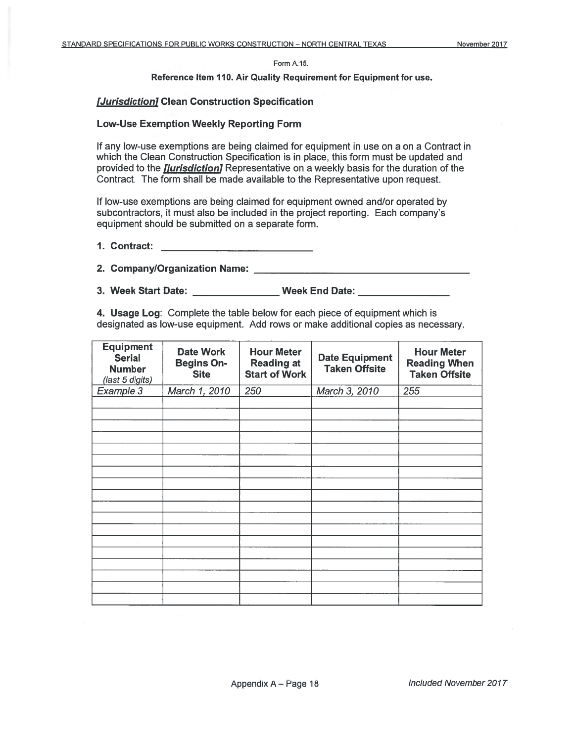#### Form A.15.

### Reference Item 110. Air Quality Requirement for Equipment for use.

## [Jurisdiction] Clean Construction Specification

### **Low-Use Exemption Weekly Reporting Form**

If any low-use exemptions are being claimed for equipment in use on a on a Contract in which the Clean Construction Specification is in place, this form must be updated and provided to the *fiurisdiction* Representative on a weekly basis for the duration of the Contract. The form shall be made available to the Representative upon request.

If low-use exemptions are being claimed for equipment owned and/or operated by subcontractors, it must also be included in the project reporting. Each company's equipment should be submitted on a separate form.

3. Week Start Date: Week End Date:

4. Usage Log: Complete the table below for each piece of equipment which is designated as low-use equipment. Add rows or make additional copies as necessary.

| <b>Equipment</b><br><b>Serial</b><br><b>Number</b><br>(last 5 digits) | <b>Date Work</b><br><b>Begins On-</b><br><b>Site</b> | <b>Hour Meter</b><br><b>Reading at</b><br><b>Start of Work</b> | <b>Date Equipment</b><br><b>Taken Offsite</b> | <b>Hour Meter</b><br><b>Reading When</b><br><b>Taken Offsite</b> |
|-----------------------------------------------------------------------|------------------------------------------------------|----------------------------------------------------------------|-----------------------------------------------|------------------------------------------------------------------|
| Example 3                                                             | March 1, 2010                                        | 250                                                            | March 3, 2010                                 | 255                                                              |
|                                                                       |                                                      |                                                                |                                               |                                                                  |
|                                                                       |                                                      |                                                                |                                               |                                                                  |
|                                                                       |                                                      |                                                                |                                               |                                                                  |
|                                                                       |                                                      |                                                                |                                               |                                                                  |
|                                                                       |                                                      |                                                                |                                               |                                                                  |
|                                                                       |                                                      |                                                                |                                               |                                                                  |
|                                                                       |                                                      |                                                                |                                               |                                                                  |
|                                                                       |                                                      |                                                                |                                               |                                                                  |
|                                                                       |                                                      |                                                                |                                               |                                                                  |
|                                                                       |                                                      |                                                                |                                               |                                                                  |
|                                                                       |                                                      |                                                                |                                               |                                                                  |
|                                                                       |                                                      |                                                                |                                               |                                                                  |
|                                                                       |                                                      |                                                                |                                               |                                                                  |
|                                                                       |                                                      |                                                                |                                               |                                                                  |
|                                                                       |                                                      |                                                                |                                               |                                                                  |
|                                                                       |                                                      |                                                                |                                               |                                                                  |
|                                                                       |                                                      |                                                                |                                               |                                                                  |
|                                                                       |                                                      |                                                                |                                               |                                                                  |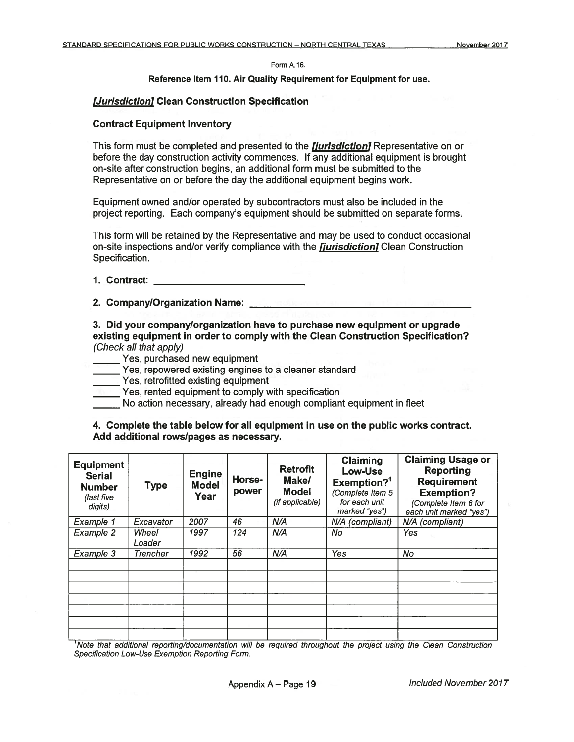#### Form A.16.

### Reference Item 110. Air Quality Requirement for Equipment for use.

## [Jurisdiction] Clean Construction Specification

## **Contract Equipment Inventory**

This form must be completed and presented to the *fiurisdiction* Representative on or before the day construction activity commences. If any additional equipment is brought on-site after construction begins, an additional form must be submitted to the Representative on or before the day the additional equipment begins work.

Equipment owned and/or operated by subcontractors must also be included in the project reporting. Each company's equipment should be submitted on separate forms.

This form will be retained by the Representative and may be used to conduct occasional on-site inspections and/or verify compliance with the *fiurisdiction* Clean Construction Specification.

# 1. Contract: <u>\_\_\_\_\_\_\_\_\_\_\_\_\_\_\_\_\_\_\_\_\_\_\_\_</u>

2. Company/Organization Name: **All and Science of All and Science of All and Science of All and Science of All and Science of All and Science of All and Science of All and Science of All and Science of All and Science of A** 

3. Did your company/organization have to purchase new equipment or upgrade existing equipment in order to comply with the Clean Construction Specification? (Check all that apply)

- Yes, purchased new equipment
- Yes, repowered existing engines to a cleaner standard
- Yes, retrofitted existing equipment
- Yes, rented equipment to comply with specification
- No action necessary, already had enough compliant equipment in fleet

## 4. Complete the table below for all equipment in use on the public works contract. Add additional rows/pages as necessary.

| <b>Equipment</b><br><b>Serial</b><br><b>Number</b><br>(last five<br>digits) | <b>Type</b>     | <b>Engine</b><br><b>Model</b><br>Year | <b>Horse-</b><br>power | <b>Retrofit</b><br>Make/<br><b>Model</b><br>(if applicable) | Claiming<br>Low-Use<br>Exemption? <sup>1</sup><br>(Complete Item 5<br>for each unit<br>marked "yes") | <b>Claiming Usage or</b><br><b>Reporting</b><br><b>Requirement</b><br><b>Exemption?</b><br>(Complete Item 6 for<br>each unit marked "yes") |
|-----------------------------------------------------------------------------|-----------------|---------------------------------------|------------------------|-------------------------------------------------------------|------------------------------------------------------------------------------------------------------|--------------------------------------------------------------------------------------------------------------------------------------------|
| Example 1                                                                   | Excavator       | 2007                                  | 46                     | N/A                                                         | N/A (compliant)                                                                                      | N/A (compliant)                                                                                                                            |
| Example 2                                                                   | Wheel<br>Loader | 1997                                  | 124                    | N/A                                                         | No                                                                                                   | Yes                                                                                                                                        |
| Example 3                                                                   | Trencher        | 1992                                  | 56                     | N/A                                                         | Yes                                                                                                  | No                                                                                                                                         |
|                                                                             |                 |                                       |                        |                                                             |                                                                                                      |                                                                                                                                            |
|                                                                             |                 |                                       |                        |                                                             |                                                                                                      |                                                                                                                                            |
|                                                                             |                 |                                       |                        |                                                             |                                                                                                      |                                                                                                                                            |

Note that additional reporting/documentation will be required throughout the project using the Clean Construction Specification Low-Use Exemption Reporting Form.